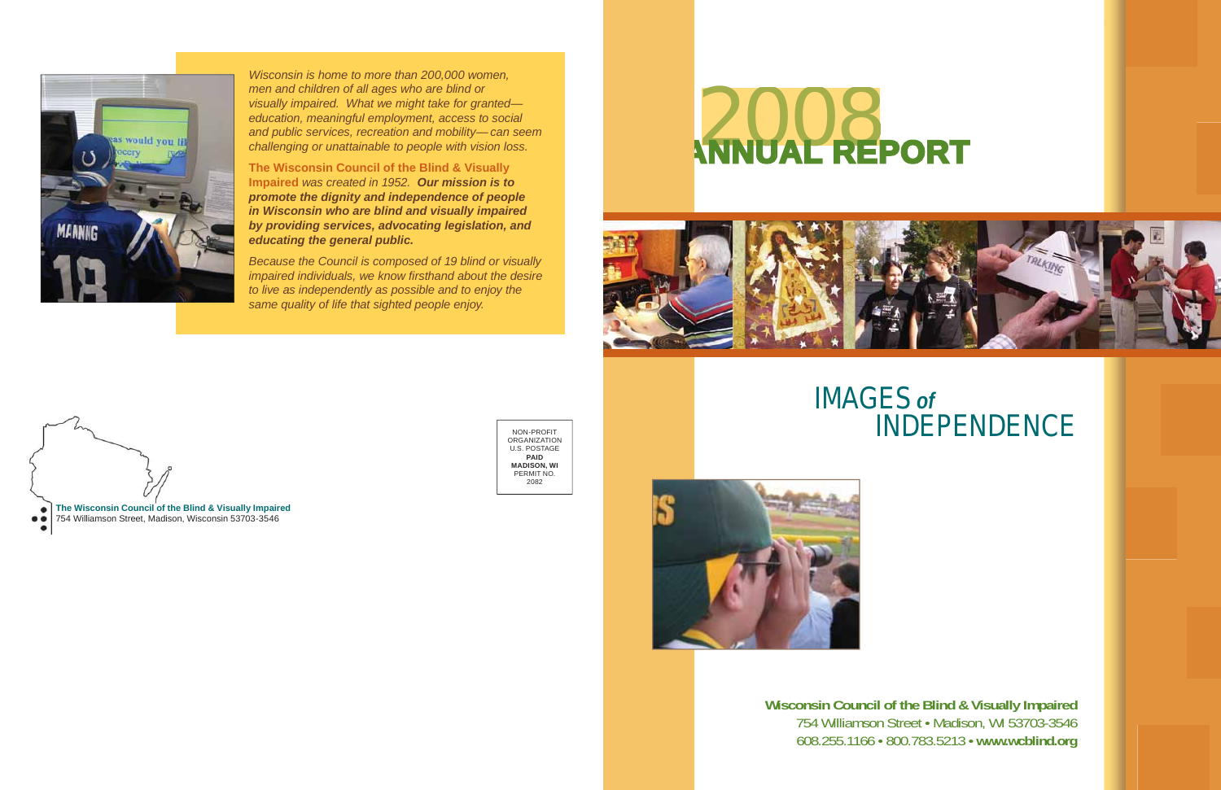

*Wisconsin is home to more than 200,000 women, men and children of all ages who are blind or visually impaired. What we might take for granted education, meaningful employment, access to social and public services, recreation and mobility— can seem challenging or unattainable to people with vision loss.* 

**The Wisconsin Council of the Blind & Visually Impaired** *was created in 1952. Our mission is to promote the dignity and independence of people in Wisconsin who are blind and visually impaired by providing services, advocating legislation, and educating the general public.* 

*Because the Council is composed of 19 blind or visually impaired individuals, we know firsthand about the desire to live as independently as possible and to enjoy the same quality of life that sighted people enjoy.* 

> NON-PROFIT **ORGANIZATION**  U.S. POSTAGE **PAID MADISON, WI**  PERMIT NO. 2082





# **ANNUAL REPORT REPORT 2008**



## **IMAGES** *of*  **INDEPENDENCE**

**Wisconsin Council of the Blind & Visually Impaired**  754 Williamson Street • Madison, WI 53703-3546 608.255.1166 • 800.783.5213 • **<www.wcblind.org>**

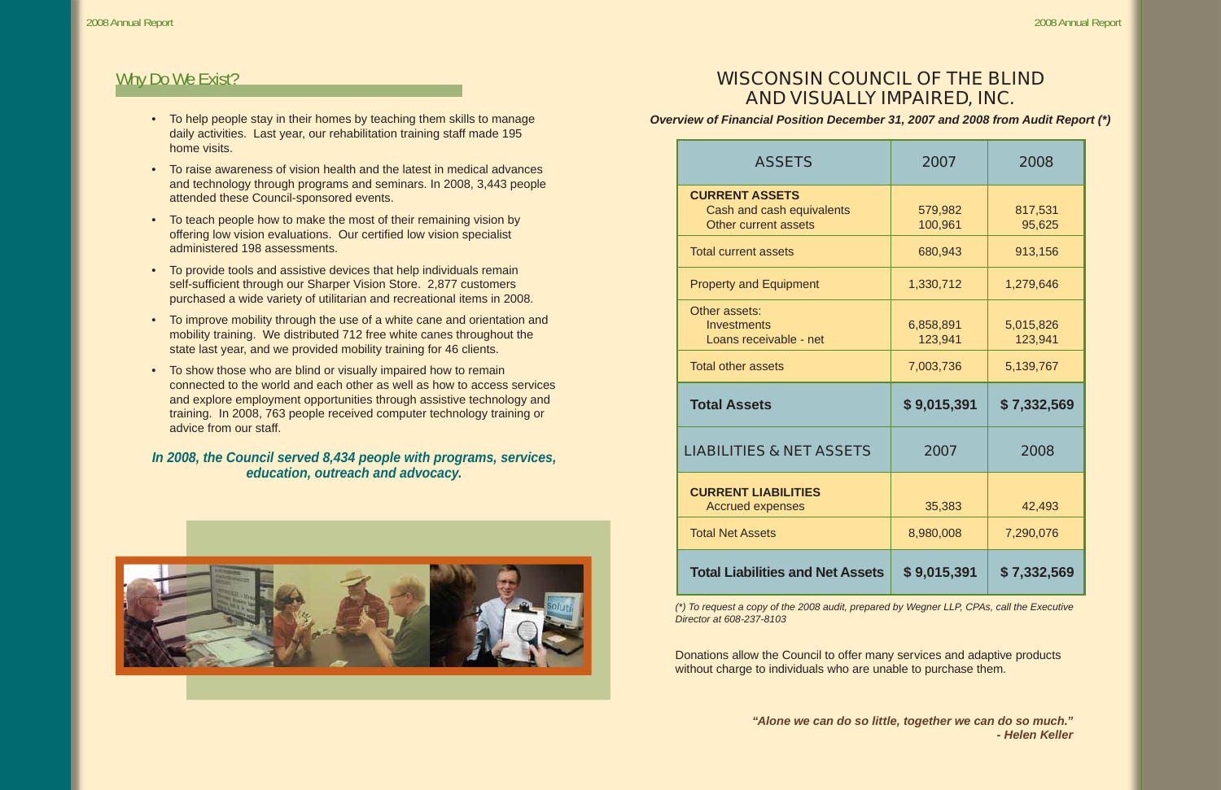## **WISCONSIN COUNCIL OF THE BLIND AND VISUALLY IMPAIRED, INC.**

Overview of Financial Position December 31, 2007 and 2008 from Audit Report (\*)

- daily activities. Last year, our rehabilitation training staff made 195 home visits. •
- To raise awareness of vision health and the latest in medical advances and technology through programs and seminars. In 2008, 3,443 people attended these Council-sponsored events.
- To teach people how to make the most of their remaining vision by offering low vision evaluations. Our certified low vision specialist administered 198 assessments.
- To provide tools and assistive devices that help individuals remain self-sufficient through our Sharper Vision Store. 2,877 customers purchased a wide variety of utilitarian and recreational items in 2008.
- To improve mobility through the use of a white cane and orientation and mobility training. We distributed 712 free white canes throughout the state last year, and we provided mobility training for 46 clients.
- To show those who are blind or visually impaired how to remain connected to the world and each other as well as how to access services and explore employment opportunities through assistive technology and training. In 2008, 763 people received computer technology training or advice from our staff.

## *In 2008, the Council served 8,434 people with programs, services, education, outreach and advocacy.*



## Why Do We Exist?

| <b>ASSETS</b>                                                                     | 2007                 | 2008                 |
|-----------------------------------------------------------------------------------|----------------------|----------------------|
| <b>CURRENT ASSETS</b><br>Cash and cash equivalents<br><b>Other current assets</b> | 579,982<br>100,961   | 817,531<br>95,625    |
| <b>Total current assets</b>                                                       | 680,943              | 913,156              |
| <b>Property and Equipment</b>                                                     | 1,330,712            | 1,279,646            |
| Other assets:<br><b>Investments</b><br>Loans receivable - net                     | 6,858,891<br>123,941 | 5,015,826<br>123,941 |
| <b>Total other assets</b>                                                         | 7,003,736            | 5,139,767            |
|                                                                                   |                      |                      |
| <b>Total Assets</b>                                                               | \$9,015,391          | \$7,332,569          |
| <b>LIABILITIES &amp; NET ASSETS</b>                                               | 2007                 | 2008                 |
| <b>CURRENT LIABILITIES</b><br><b>Accrued expenses</b>                             | 35,383               | 42,493               |
| <b>Total Net Assets</b>                                                           | 8,980,008            | 7,290,076            |
| <b>Total Liabilities and Net Assets</b>                                           | \$9,015,391          | \$7,332,569          |

*Director at 608-237-8103* 

Donations allow the Council to offer many services and adaptive products without charge to individuals who are unable to purchase them.

### *"Alone we can do so little, together we can do so much." - Helen Keller*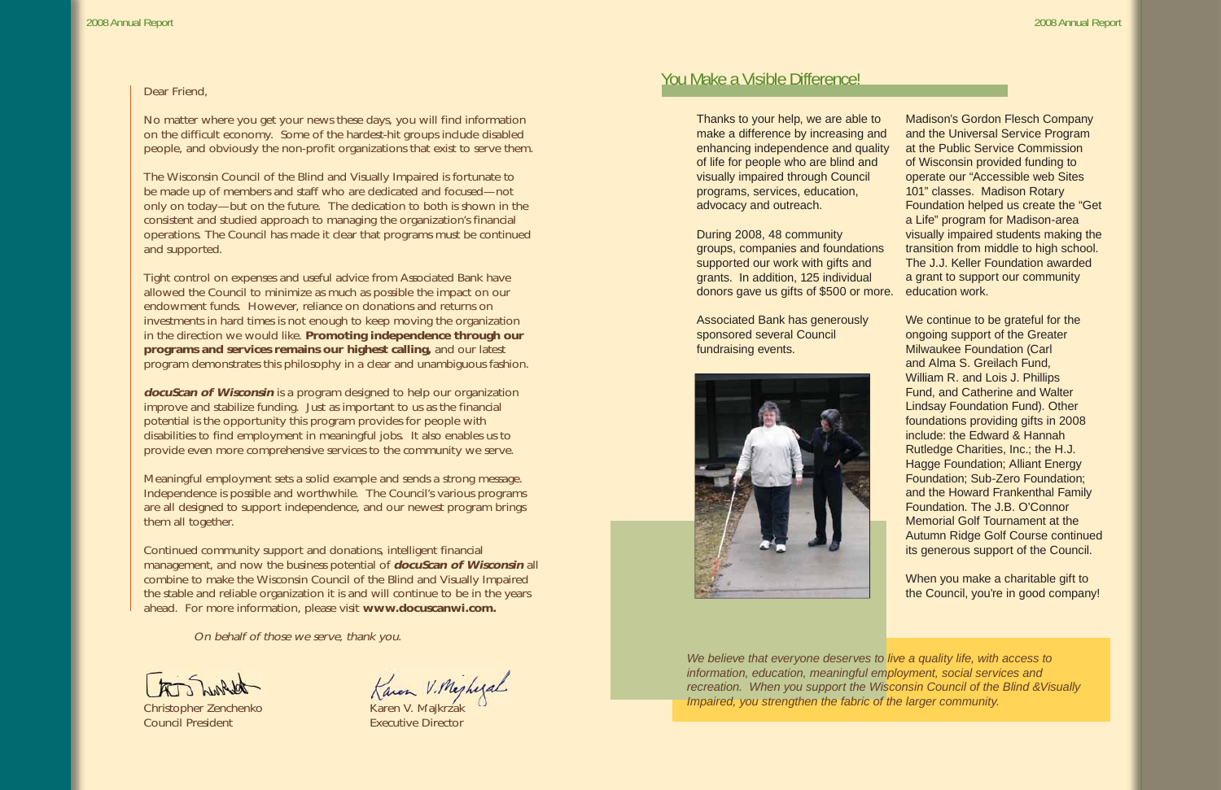### Dear Friend,

No matter where you get your news these days, you will find information on the difficult economy. Some of the hardest-hit groups include disabled people, and obviously the non-profit organizations that exist to serve them.

The Wisconsin Council of the Blind and Visually Impaired is fortunate to be made up of members and staff who are dedicated and focused—not only on today—but on the future. The dedication to both is shown in the consistent and studied approach to managing the organization's financial operations. The Council has made it clear that programs must be continued and supported.

**docuScan of Wisconsin** is a program designed to help our organization improve and stabilize funding. Just as important to us as the financial potential is the opportunity this program provides for people with disabilities to find employment in meaningful jobs. It also enables us to provide even more comprehensive services to the community we serve.

Tight control on expenses and useful advice from Associated Bank have allowed the Council to minimize as much as possible the impact on our endowment funds. However, reliance on donations and returns on investments in hard times is not enough to keep moving the organization in the direction we would like. **Promoting independence through our programs and services remains our highest calling,** and our latest program demonstrates this philosophy in a clear and unambiguous fashion.

Meaningful employment sets a solid example and sends a strong message. Independence is possible and worthwhile. The Council's various programs are all designed to support independence, and our newest program brings them all together.

Continued community support and donations, intelligent financial management, and now the business potential of **docuScan of Wisconsin** all combine to make the Wisconsin Council of the Blind and Visually Impaired the stable and reliable organization it is and will continue to be in the years ahead. For more information, please visit **www.docuscanwi.com.**

On behalf of those we serve, thank you.

the Trubble

**Council President Council President Executive Director** 

Christopher Zenchenko Karen V. Majkrzak

## You Make a Visible Difference!

Thanks to your help, we are able to make a difference by increasing and enhancing independence and quality of life for people who are blind and visually impaired through Council programs, services, education, advocacy and outreach.

Associated Bank has generously sponsored several Council fundraising events.



During 2008, 48 community groups, companies and foundations supported our work with gifts and grants. In addition, 125 individual donors gave us gifts of \$500 or more. education work.

*We believe that everyone deserves to live a quality life, with access to information, education, meaningful employment, social services and recreation. When you support the Wisconsin Council of the Blind &Visually Impaired, you strengthen the fabric of the larger community.* 

Madison's Gordon Flesch Company and the Universal Service Program at the Public Service Commission of Wisconsin provided funding to operate our "Accessible web Sites 101" classes. Madison Rotary Foundation helped us create the "Get a Life" program for Madison-area visually impaired students making the transition from middle to high school. The J.J. Keller Foundation awarded a grant to support our community

We continue to be grateful for the ongoing support of the Greater Milwaukee Foundation (Carl and Alma S. Greilach Fund, William R. and Lois J. Phillips Fund, and Catherine and Walter Lindsay Foundation Fund). Other foundations providing gifts in 2008 include: the Edward & Hannah Rutledge Charities, Inc.; the H.J. Hagge Foundation; Alliant Energy Foundation; Sub-Zero Foundation; and the Howard Frankenthal Family Foundation. The J.B. O'Connor Memorial Golf Tournament at the Autumn Ridge Golf Course continued its generous support of the Council.

When you make a charitable gift to the Council, you're in good company!